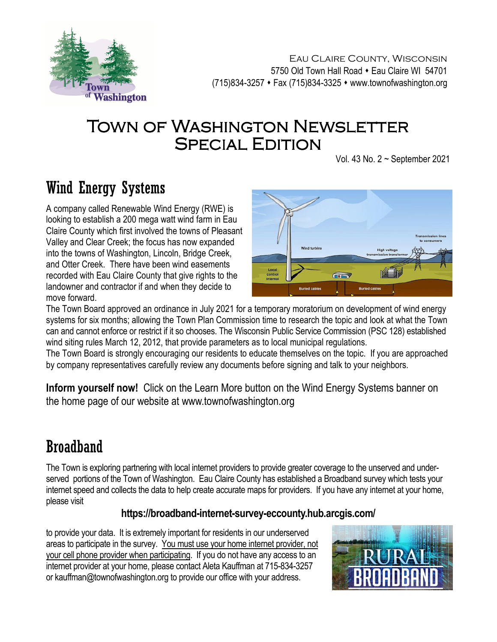

Eau Claire County, Wisconsin 5750 Old Town Hall Road • Eau Claire WI 54701 (715)834-3257 Fax (715)834-3325 www.townofwashington.org

## TOWN OF WASHINGTON NEWSLETTER **SPECIAL EDITION**

Vol. 43 No. 2 ~ September 2021

# Wind Energy Systems

A company called Renewable Wind Energy (RWE) is looking to establish a 200 mega watt wind farm in Eau Claire County which first involved the towns of Pleasant Valley and Clear Creek; the focus has now expanded into the towns of Washington, Lincoln, Bridge Creek, and Otter Creek. There have been wind easements recorded with Eau Claire County that give rights to the landowner and contractor if and when they decide to move forward.



The Town Board approved an ordinance in July 2021 for a temporary moratorium on development of wind energy systems for six months; allowing the Town Plan Commission time to research the topic and look at what the Town can and cannot enforce or restrict if it so chooses. The Wisconsin Public Service Commission (PSC 128) established wind siting rules March 12, 2012, that provide parameters as to local municipal regulations.

The Town Board is strongly encouraging our residents to educate themselves on the topic. If you are approached by company representatives carefully review any documents before signing and talk to your neighbors.

**Inform yourself now!** Click on the Learn More button on the Wind Energy Systems banner on the home page of our website at www.townofwashington.org

## Broadband

The Town is exploring partnering with local internet providers to provide greater coverage to the unserved and underserved portions of the Town of Washington. Eau Claire County has established a Broadband survey which tests your internet speed and collects the data to help create accurate maps for providers. If you have any internet at your home, please visit

#### **https://broadband-internet-survey-eccounty.hub.arcgis.com/**

to provide your data. It is extremely important for residents in our underserved areas to participate in the survey. You must use your home internet provider, not your cell phone provider when participating. If you do not have any access to an internet provider at your home, please contact Aleta Kauffman at 715-834-3257 or kauffman@townofwashington.org to provide our office with your address.